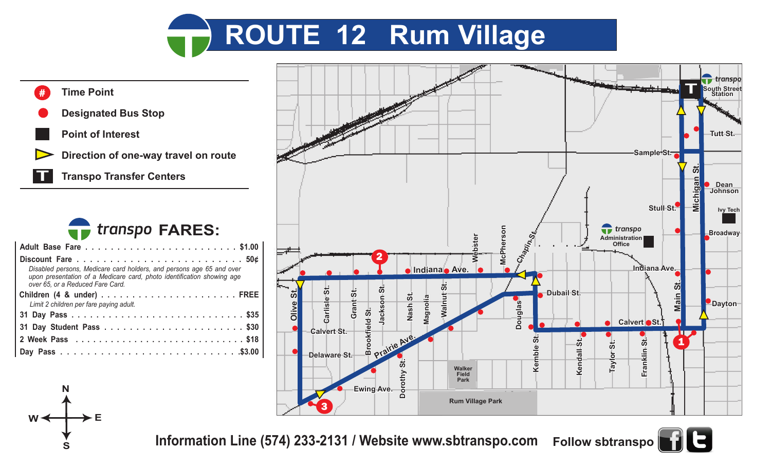





**S**